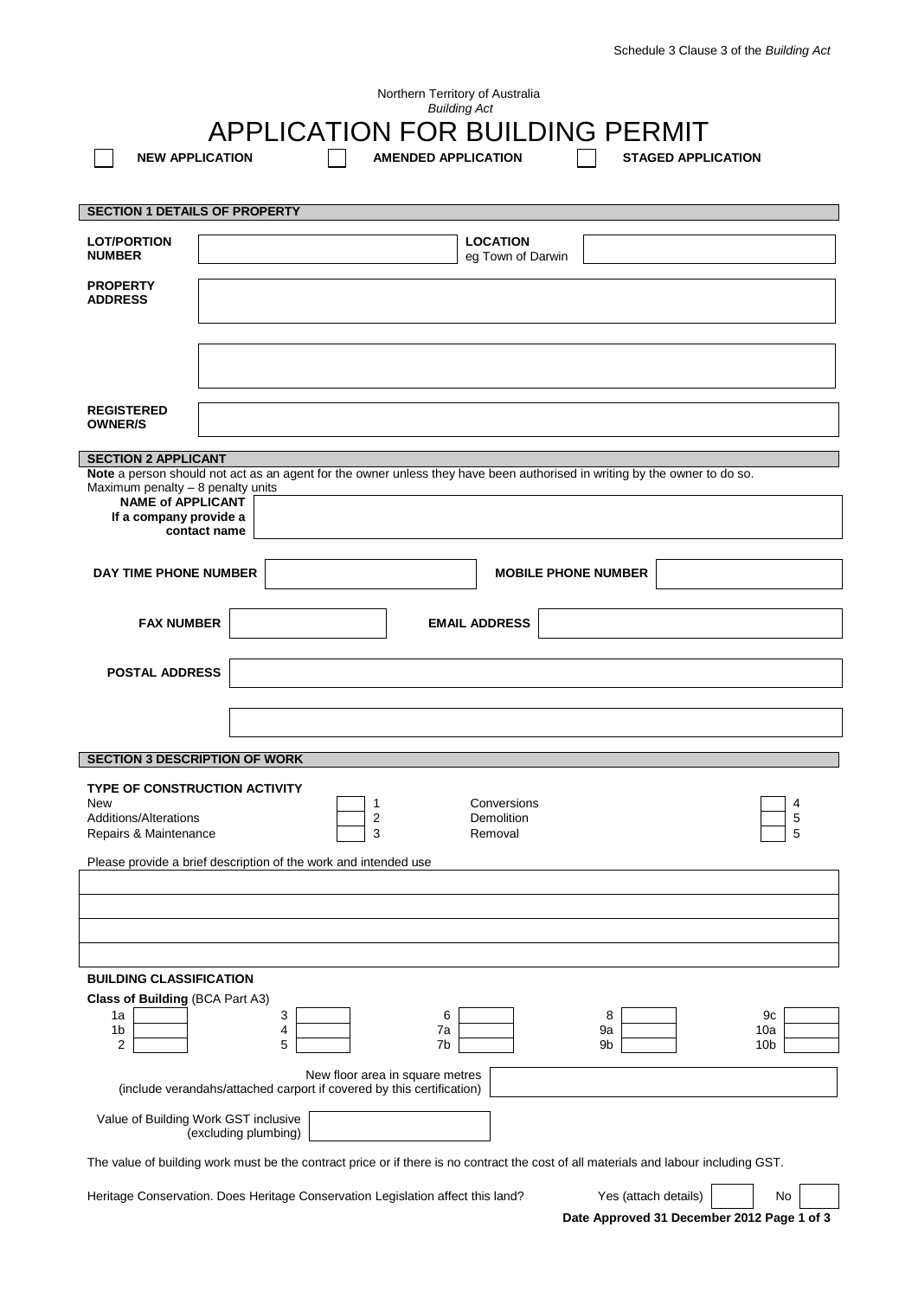| Northern Territory of Australia<br><b>Building Act</b>                                                                               |                        |                                                                 |                                                                                                                           |                            |                           |  |
|--------------------------------------------------------------------------------------------------------------------------------------|------------------------|-----------------------------------------------------------------|---------------------------------------------------------------------------------------------------------------------------|----------------------------|---------------------------|--|
| <b>APPLICATION FOR BUILDING PERMIT</b>                                                                                               |                        |                                                                 |                                                                                                                           |                            |                           |  |
|                                                                                                                                      | <b>NEW APPLICATION</b> |                                                                 | <b>AMENDED APPLICATION</b>                                                                                                |                            | <b>STAGED APPLICATION</b> |  |
|                                                                                                                                      |                        |                                                                 |                                                                                                                           |                            |                           |  |
| <b>SECTION 1 DETAILS OF PROPERTY</b>                                                                                                 |                        |                                                                 |                                                                                                                           |                            |                           |  |
| <b>LOT/PORTION</b><br><b>NUMBER</b>                                                                                                  |                        |                                                                 | <b>LOCATION</b><br>eg Town of Darwin                                                                                      |                            |                           |  |
| <b>PROPERTY</b><br><b>ADDRESS</b>                                                                                                    |                        |                                                                 |                                                                                                                           |                            |                           |  |
|                                                                                                                                      |                        |                                                                 |                                                                                                                           |                            |                           |  |
|                                                                                                                                      |                        |                                                                 |                                                                                                                           |                            |                           |  |
| <b>REGISTERED</b><br><b>OWNER/S</b>                                                                                                  |                        |                                                                 |                                                                                                                           |                            |                           |  |
|                                                                                                                                      |                        |                                                                 |                                                                                                                           |                            |                           |  |
| <b>SECTION 2 APPLICANT</b>                                                                                                           |                        |                                                                 | Note a person should not act as an agent for the owner unless they have been authorised in writing by the owner to do so. |                            |                           |  |
| Maximum penalty - 8 penalty units                                                                                                    |                        |                                                                 |                                                                                                                           |                            |                           |  |
| <b>NAME of APPLICANT</b><br>If a company provide a                                                                                   |                        |                                                                 |                                                                                                                           |                            |                           |  |
|                                                                                                                                      | contact name           |                                                                 |                                                                                                                           |                            |                           |  |
| <b>DAY TIME PHONE NUMBER</b>                                                                                                         |                        |                                                                 |                                                                                                                           | <b>MOBILE PHONE NUMBER</b> |                           |  |
|                                                                                                                                      |                        |                                                                 |                                                                                                                           |                            |                           |  |
| <b>FAX NUMBER</b>                                                                                                                    |                        |                                                                 | <b>EMAIL ADDRESS</b>                                                                                                      |                            |                           |  |
| <b>POSTAL ADDRESS</b>                                                                                                                |                        |                                                                 |                                                                                                                           |                            |                           |  |
|                                                                                                                                      |                        |                                                                 |                                                                                                                           |                            |                           |  |
|                                                                                                                                      |                        |                                                                 |                                                                                                                           |                            |                           |  |
| <b>SECTION 3 DESCRIPTION OF WORK</b>                                                                                                 |                        |                                                                 |                                                                                                                           |                            |                           |  |
| <b>TYPE OF CONSTRUCTION ACTIVITY</b>                                                                                                 |                        |                                                                 |                                                                                                                           |                            |                           |  |
| New<br>Additions/Alterations<br>Repairs & Maintenance                                                                                |                        | 1<br>2<br>3                                                     | Conversions<br>Demolition<br>Removal                                                                                      |                            | 4<br>5<br>5               |  |
|                                                                                                                                      |                        | Please provide a brief description of the work and intended use |                                                                                                                           |                            |                           |  |
|                                                                                                                                      |                        |                                                                 |                                                                                                                           |                            |                           |  |
|                                                                                                                                      |                        |                                                                 |                                                                                                                           |                            |                           |  |
|                                                                                                                                      |                        |                                                                 |                                                                                                                           |                            |                           |  |
| <b>BUILDING CLASSIFICATION</b>                                                                                                       |                        |                                                                 |                                                                                                                           |                            |                           |  |
| Class of Building (BCA Part A3)                                                                                                      |                        |                                                                 |                                                                                                                           |                            |                           |  |
| 1a<br>1 <sub>b</sub>                                                                                                                 |                        | 3<br>4                                                          | 6<br>7a                                                                                                                   | 8<br>9a                    | 9c<br>10a                 |  |
| 2                                                                                                                                    |                        | 5                                                               | 7b                                                                                                                        | 9b                         | 10 <sub>b</sub>           |  |
| New floor area in square metres<br>(include verandahs/attached carport if covered by this certification)                             |                        |                                                                 |                                                                                                                           |                            |                           |  |
| Value of Building Work GST inclusive<br>(excluding plumbing)                                                                         |                        |                                                                 |                                                                                                                           |                            |                           |  |
| The value of building work must be the contract price or if there is no contract the cost of all materials and labour including GST. |                        |                                                                 |                                                                                                                           |                            |                           |  |
|                                                                                                                                      |                        |                                                                 |                                                                                                                           |                            |                           |  |

Heritage Conservation. Does Heritage Conservation Legislation affect this land?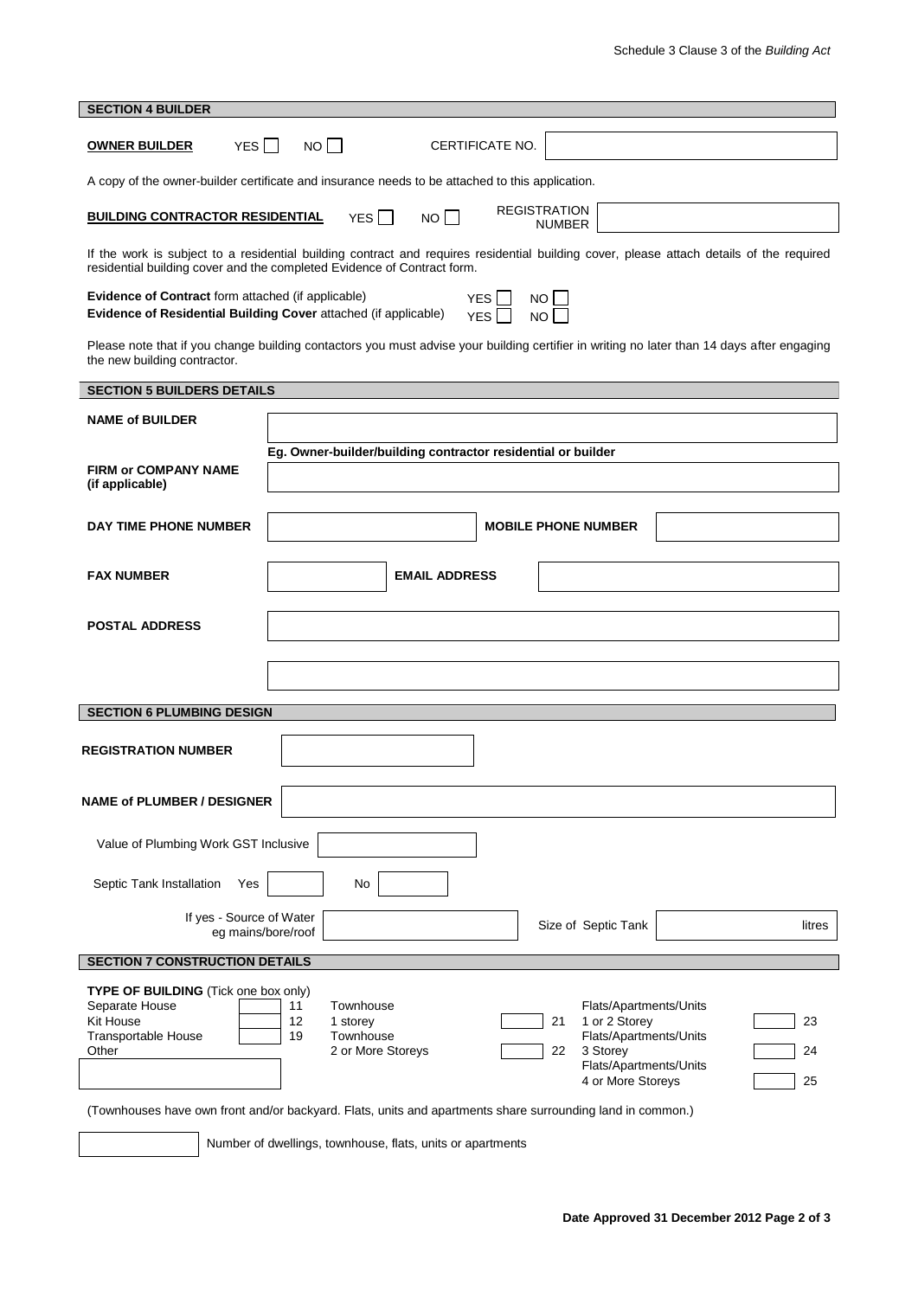| <b>SECTION 4 BUILDER</b>                                                                                                                                                                                            |                                                                                                                                                                                                                                         |  |  |  |  |  |  |
|---------------------------------------------------------------------------------------------------------------------------------------------------------------------------------------------------------------------|-----------------------------------------------------------------------------------------------------------------------------------------------------------------------------------------------------------------------------------------|--|--|--|--|--|--|
| NO <sub>1</sub><br>YES    <br>CERTIFICATE NO.<br><b>OWNER BUILDER</b>                                                                                                                                               |                                                                                                                                                                                                                                         |  |  |  |  |  |  |
| A copy of the owner-builder certificate and insurance needs to be attached to this application.                                                                                                                     |                                                                                                                                                                                                                                         |  |  |  |  |  |  |
| <b>REGISTRATION</b><br><b>BUILDING CONTRACTOR RESIDENTIAL</b><br>YES    <br>NO I<br><b>NUMBER</b>                                                                                                                   |                                                                                                                                                                                                                                         |  |  |  |  |  |  |
| If the work is subject to a residential building contract and requires residential building cover, please attach details of the required<br>residential building cover and the completed Evidence of Contract form. |                                                                                                                                                                                                                                         |  |  |  |  |  |  |
| Evidence of Contract form attached (if applicable)<br>YES I<br>NO L<br>Evidence of Residential Building Cover attached (if applicable)<br>NO <sub>1</sub><br>YES I                                                  |                                                                                                                                                                                                                                         |  |  |  |  |  |  |
| Please note that if you change building contactors you must advise your building certifier in writing no later than 14 days after engaging<br>the new building contractor.                                          |                                                                                                                                                                                                                                         |  |  |  |  |  |  |
| <b>SECTION 5 BUILDERS DETAILS</b>                                                                                                                                                                                   |                                                                                                                                                                                                                                         |  |  |  |  |  |  |
| <b>NAME of BUILDER</b>                                                                                                                                                                                              |                                                                                                                                                                                                                                         |  |  |  |  |  |  |
|                                                                                                                                                                                                                     | Eg. Owner-builder/building contractor residential or builder                                                                                                                                                                            |  |  |  |  |  |  |
| <b>FIRM or COMPANY NAME</b><br>(if applicable)                                                                                                                                                                      |                                                                                                                                                                                                                                         |  |  |  |  |  |  |
| DAY TIME PHONE NUMBER                                                                                                                                                                                               | <b>MOBILE PHONE NUMBER</b>                                                                                                                                                                                                              |  |  |  |  |  |  |
|                                                                                                                                                                                                                     |                                                                                                                                                                                                                                         |  |  |  |  |  |  |
| <b>FAX NUMBER</b>                                                                                                                                                                                                   | <b>EMAIL ADDRESS</b>                                                                                                                                                                                                                    |  |  |  |  |  |  |
| <b>POSTAL ADDRESS</b>                                                                                                                                                                                               |                                                                                                                                                                                                                                         |  |  |  |  |  |  |
|                                                                                                                                                                                                                     |                                                                                                                                                                                                                                         |  |  |  |  |  |  |
|                                                                                                                                                                                                                     |                                                                                                                                                                                                                                         |  |  |  |  |  |  |
|                                                                                                                                                                                                                     |                                                                                                                                                                                                                                         |  |  |  |  |  |  |
| <b>SECTION 6 PLUMBING DESIGN</b>                                                                                                                                                                                    |                                                                                                                                                                                                                                         |  |  |  |  |  |  |
| <b>REGISTRATION NUMBER</b>                                                                                                                                                                                          |                                                                                                                                                                                                                                         |  |  |  |  |  |  |
| <b>NAME of PLUMBER / DESIGNER</b>                                                                                                                                                                                   |                                                                                                                                                                                                                                         |  |  |  |  |  |  |
|                                                                                                                                                                                                                     |                                                                                                                                                                                                                                         |  |  |  |  |  |  |
| Value of Plumbing Work GST Inclusive                                                                                                                                                                                |                                                                                                                                                                                                                                         |  |  |  |  |  |  |
| Septic Tank Installation<br>Yes                                                                                                                                                                                     | No                                                                                                                                                                                                                                      |  |  |  |  |  |  |
| If yes - Source of Water<br>Size of Septic Tank<br>litres<br>eg mains/bore/roof                                                                                                                                     |                                                                                                                                                                                                                                         |  |  |  |  |  |  |
| <b>SECTION 7 CONSTRUCTION DETAILS</b>                                                                                                                                                                               |                                                                                                                                                                                                                                         |  |  |  |  |  |  |
| TYPE OF BUILDING (Tick one box only)<br>Separate House<br>Kit House<br>Transportable House<br>Other                                                                                                                 | 11<br>Townhouse<br>Flats/Apartments/Units<br>12<br>1 or 2 Storey<br>21<br>23<br>1 storey<br>Flats/Apartments/Units<br>19<br>Townhouse<br>2 or More Storeys<br>22<br>3 Storey<br>24<br>Flats/Apartments/Units<br>4 or More Storeys<br>25 |  |  |  |  |  |  |
|                                                                                                                                                                                                                     |                                                                                                                                                                                                                                         |  |  |  |  |  |  |

(Townhouses have own front and/or backyard. Flats, units and apartments share surrounding land in common.)

Number of dwellings, townhouse, flats, units or apartments